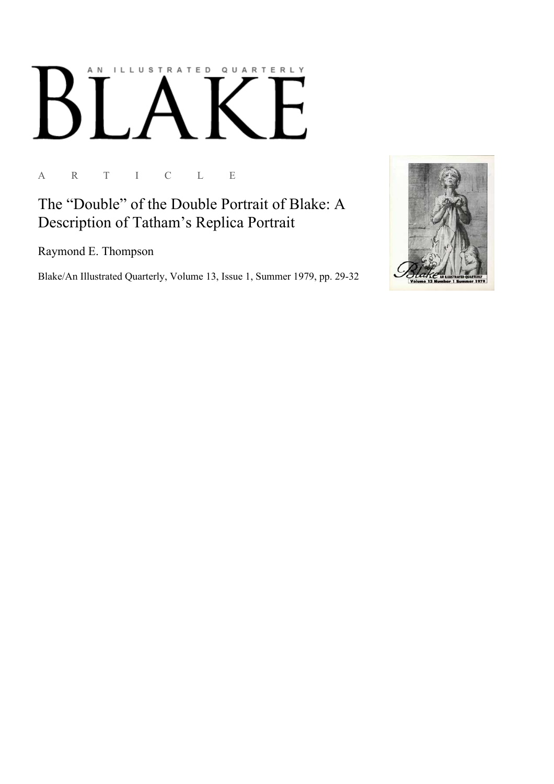## ILLUSTRATED QUARTERLY A N

A R T I C L E

The "Double" of the Double Portrait of Blake: A Description of Tatham's Replica Portrait

Raymond E. Thompson

Blake/An Illustrated Quarterly, Volume 13, Issue 1, Summer 1979, pp. 29-32

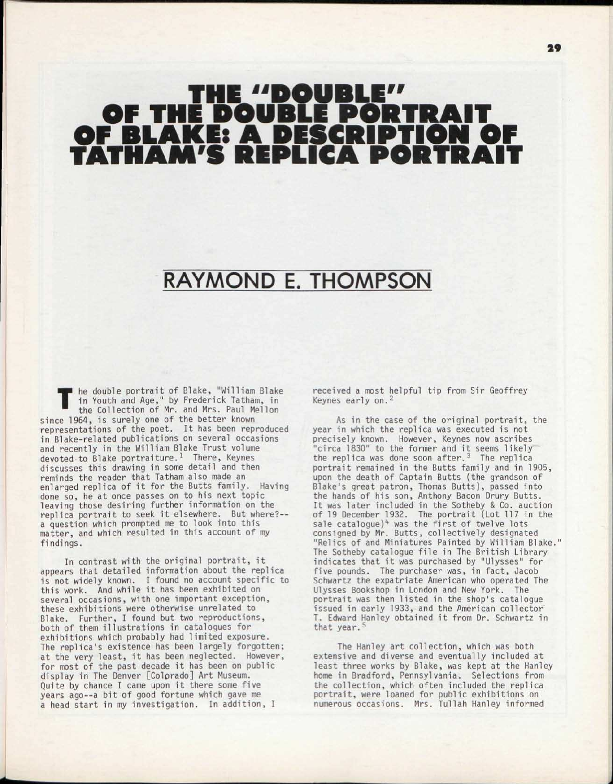## "DOUBLE" OF THE DOUBLE PORTRAIT OF BLAKE: A DESCRIPTION OF TATHAM'S REPLICA PORTRAIT

## RAYMOND E. THOMPSON

T he double portrait of Blake, "William Blake in Youth and Age," by Frederick Tatham, in the Collection of Mr. and Mrs. Paul Mellon since 1964, is surely one of the better known representations of the poet. It has been reproduced in Blake-related publications on several occasions and recently in the William Blake Trust volume devoted to Blake portraiture.<sup>1</sup> There, Keynes discusses this drawing in some detail and then reminds the reader that Tatham also made an enlarged replica of it for the Butts family. Having done so, he at once passes on to his next topic leaving those desiring further information on the replica portrait to seek it elsewhere. But where?-a question which prompted me to look into this matter, and which resulted in this account of my findings.

In contrast with the original portrait, it appears that detailed information about the replica is not widely known. I found no account specific to this work. And while it has been exhibited on several occasions, with one important exception, these exhibitions were otherwise unrelated to Blake. Further, I found but two reproductions, both of them illustrations in catalogues for exhibitions which probably had limited exposure. The replica's existence has been largely forgotten; at the very least, it has been neglected. However, for most of the past decade it has been on public display in The Denver [Colprado] Art Museum. Quite by chance I came upon it there some five years ago--a bit of good fortune which gave me a head start in my investigation. In addition, I

received a most helpful tip from Sir Geoffrey Keynes early on. <sup>2</sup>

As in the case of the original portrait, the year in which the replica was executed is not precisely known. However, Keynes now ascribes "circa 1830" to the former and it seems likely<br>the replica was done soon after.<sup>3</sup> The replica portrait remained in the Butts family and in 1905, upon the death of Captain Butts (the grandson of Blake's great patron, Thomas Butts), passed into the hands of his son, Anthony Bacon Drury Butts. It was later included in the Sotheby & Co. auction of 19 December 1932. The portrait (Lot 117 in the  $s$ ale catalogue)<sup>4</sup> was the first of twelve lots consigned by Mr. Butts, collectively designated "Relics of and Miniatures Painted by William Blake. The Sotheby catalogue file in The British Library indicates that it was purchased by "Ulysses" for five pounds. The purchaser was, in fact, Jacob Schwartz the expatriate American who operated The Ulysses Bookshop in London and New York. The portrait was then listed in the shop's catalogue issued in early 1933, and the American collector<sup>'</sup> T. Edward Hanley obtained it from Dr. Schwartz in that year.<sup>5</sup>

The Hanley art collection, which was both extensive and diverse and eventually included at least three works by Blake, was kept at the Hanley home in Bradford, Pennsylvania. Selections from the collection, which often included the replica portrait, were loaned for public exhibitions on numerous occasions. Mrs. Tullah Hanley informed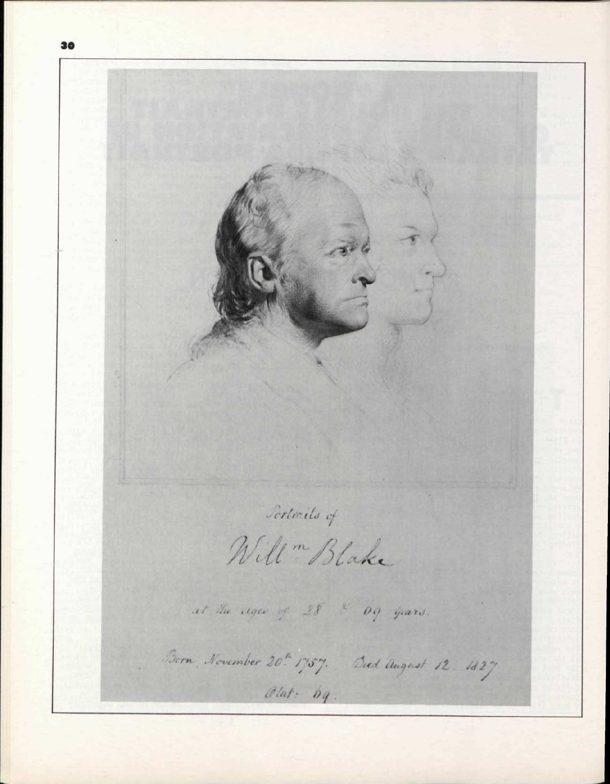Sertrils of Will " Blake at the ages of 28 & 69 years. Born, November 20th 1757. Died August 12. 1827  $\mathcal{O}$  lat:  $bg$ .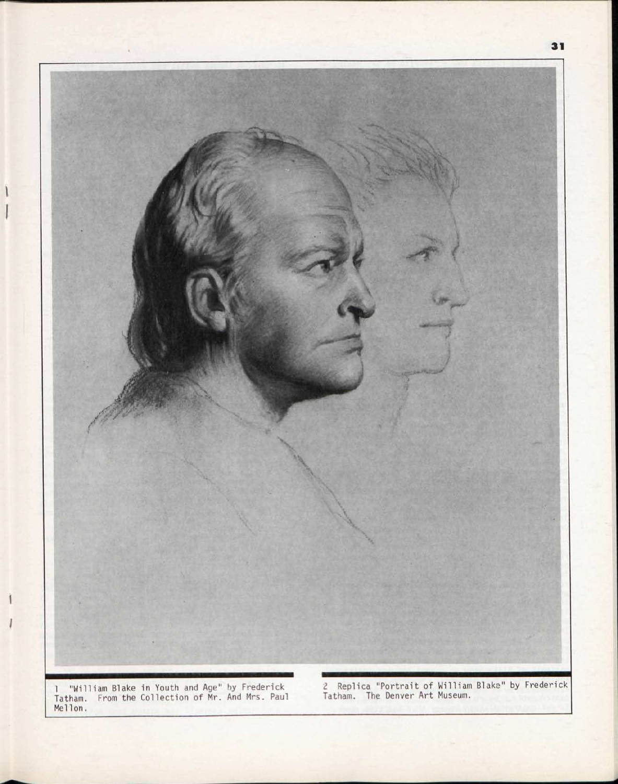

 $\mathbf{1}$